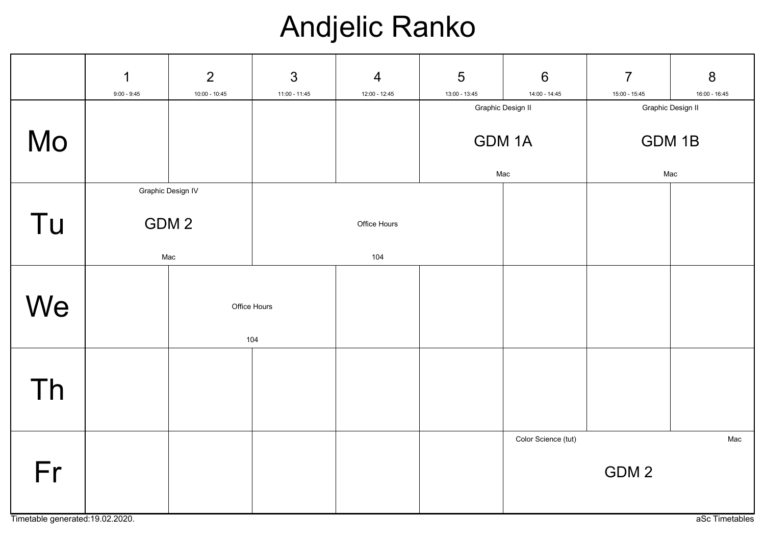## Andjelic Ranko

|    | $\mathbf 1$<br>$9:00 - 9:45$ | $\overline{2}$<br>$10:00 - 10:45$ | $\mathfrak{S}$<br>$11:00 - 11:45$ | $\overline{4}$<br>12:00 - 12:45 | $5\phantom{.0}$<br>13:00 - 13:45   | $6\phantom{1}$<br>14:00 - 14:45 | $\overline{7}$<br>15:00 - 15:45 | $\boldsymbol{8}$<br>16:00 - 16:45  |  |
|----|------------------------------|-----------------------------------|-----------------------------------|---------------------------------|------------------------------------|---------------------------------|---------------------------------|------------------------------------|--|
| Mo |                              |                                   |                                   |                                 | Graphic Design II<br>GDM 1A<br>Mac |                                 |                                 | Graphic Design II<br>GDM 1B<br>Mac |  |
| Tu | Graphic Design IV            | GDM <sub>2</sub><br>Mac           |                                   | Office Hours<br>104             |                                    |                                 |                                 |                                    |  |
| We |                              | Office Hours<br>104               |                                   |                                 |                                    |                                 |                                 |                                    |  |
| Th |                              |                                   |                                   |                                 |                                    |                                 |                                 |                                    |  |
| Fr |                              |                                   |                                   |                                 |                                    | Color Science (tut)             | GDM <sub>2</sub>                | Mac                                |  |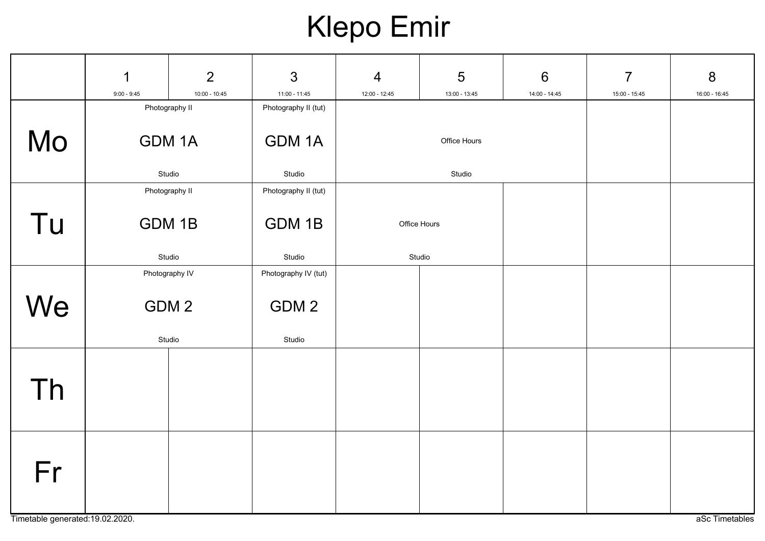# Klepo Emir

|    | $\mathbf 1$<br>$9:00 - 9:45$     | $\overline{2}$<br>$10:00 - 10:45$ | 3<br>$11:00 - 11:45$ | $\overline{4}$<br>12:00 - 12:45 | 5<br>13:00 - 13:45 | $6\phantom{1}6$<br>14:00 - 14:45 | $\overline{7}$<br>15:00 - 15:45 | 8<br>16:00 - 16:45 |
|----|----------------------------------|-----------------------------------|----------------------|---------------------------------|--------------------|----------------------------------|---------------------------------|--------------------|
|    | Photography II                   |                                   | Photography II (tut) |                                 |                    |                                  |                                 |                    |
| Mo |                                  | GDM 1A                            | GDM 1A               |                                 | Office Hours       |                                  |                                 |                    |
|    | Studio                           |                                   | Studio               |                                 | Studio             |                                  |                                 |                    |
|    | Photography II                   |                                   | Photography II (tut) |                                 |                    |                                  |                                 |                    |
| Tu | GDM 1B<br>GDM 1B<br>Office Hours |                                   |                      |                                 |                    |                                  |                                 |                    |
|    | Studio                           |                                   | Studio               |                                 | Studio             |                                  |                                 |                    |
|    | Photography IV                   |                                   | Photography IV (tut) |                                 |                    |                                  |                                 |                    |
| We |                                  | GDM <sub>2</sub>                  | GDM 2                |                                 |                    |                                  |                                 |                    |
|    | Studio                           |                                   | Studio               |                                 |                    |                                  |                                 |                    |
| Th |                                  |                                   |                      |                                 |                    |                                  |                                 |                    |
|    |                                  |                                   |                      |                                 |                    |                                  |                                 |                    |
| Fr |                                  |                                   |                      |                                 |                    |                                  |                                 |                    |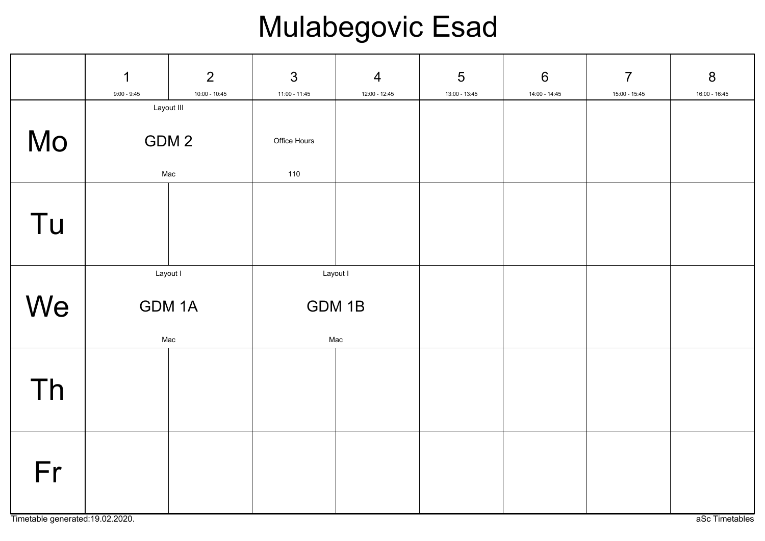# Mulabegovic Esad

|    | $\mathbf 1$<br>$9:00 - 9:45$ | $\overline{2}$<br>10:00 - 10:45 | $\mathfrak{S}$<br>$11:00 - 11:45$ | $\overline{4}$<br>12:00 - 12:45 | 5<br>13:00 - 13:45 | $6\,$<br>14:00 - 14:45 | $\overline{7}$<br>15:00 - 15:45 | 8<br>16:00 - 16:45 |
|----|------------------------------|---------------------------------|-----------------------------------|---------------------------------|--------------------|------------------------|---------------------------------|--------------------|
| Mo | Layout III<br>GDM 2<br>Mac   |                                 | Office Hours<br>110               |                                 |                    |                        |                                 |                    |
| Tu |                              |                                 |                                   |                                 |                    |                        |                                 |                    |
| We | Layout I<br>GDM 1A<br>Mac    |                                 | Layout I<br>GDM 1B<br>Mac         |                                 |                    |                        |                                 |                    |
| Th |                              |                                 |                                   |                                 |                    |                        |                                 |                    |
| Fr |                              |                                 |                                   |                                 |                    |                        |                                 |                    |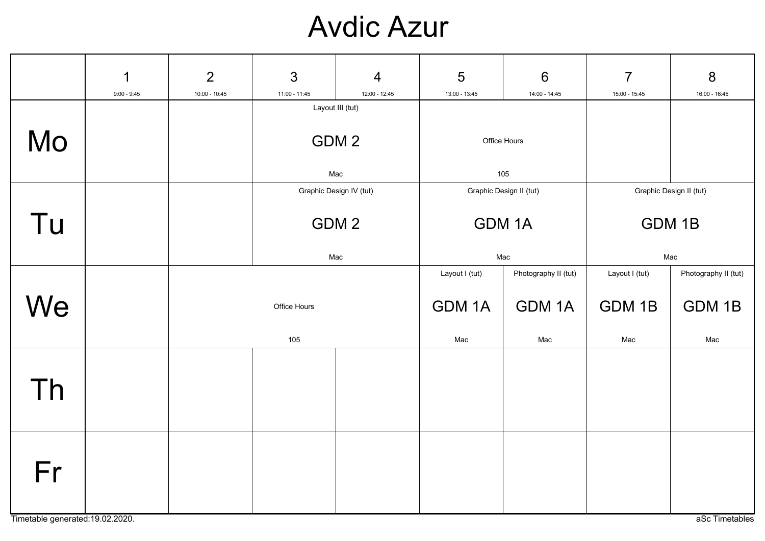### Avdic Azur

|                                        | $\mathbf 1$<br>$9:00 - 9:45$ | $\overline{2}$<br>$10:00 - 10:45$ | 3<br>11:00 - 11:45                          | $\overline{4}$<br>12:00 - 12:45 | 5<br>13:00 - 13:45                             | $6\phantom{1}6$<br>14:00 - 14:45            | $\overline{7}$<br>15:00 - 15:45          | 8<br>16:00 - 16:45                    |
|----------------------------------------|------------------------------|-----------------------------------|---------------------------------------------|---------------------------------|------------------------------------------------|---------------------------------------------|------------------------------------------|---------------------------------------|
| Mo                                     |                              |                                   | Layout III (tut)<br>GDM <sub>2</sub><br>Mac |                                 | Office Hours<br>105                            |                                             |                                          |                                       |
| Tu                                     |                              |                                   | Graphic Design IV (tut)<br>GDM 2<br>Mac     |                                 | Graphic Design II (tut)<br><b>GDM1A</b><br>Mac |                                             | Graphic Design II (tut)<br>GDM 1B<br>Mac |                                       |
| We                                     |                              |                                   | Office Hours<br>105                         |                                 |                                                | Photography II (tut)<br><b>GDM1A</b><br>Mac | Layout I (tut)<br>GDM 1B<br>Mac          | Photography II (tut)<br>GDM 1B<br>Mac |
| Th                                     |                              |                                   |                                             |                                 |                                                |                                             |                                          |                                       |
| Fr<br>Timetable generated: 19.02.2020. |                              |                                   |                                             |                                 |                                                |                                             |                                          | aSc Timetables                        |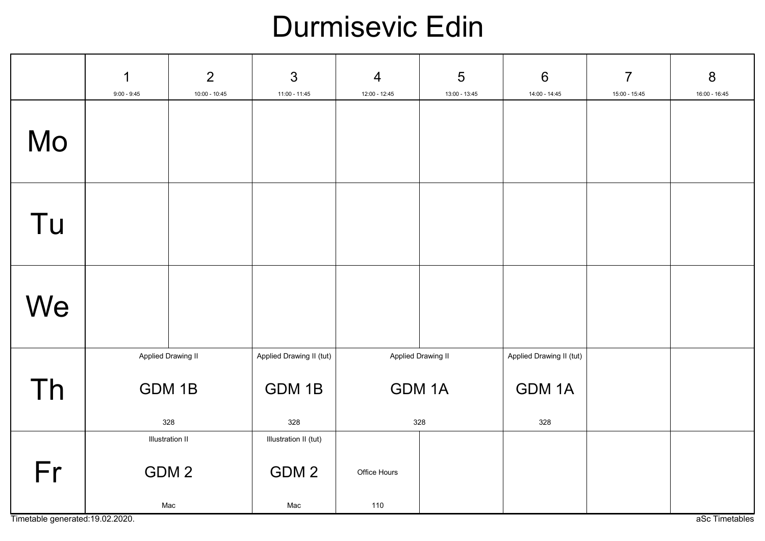### Durmisevic Edin

|    | 1<br>$9:00 - 9:45$                  | $\overline{2}$<br>10:00 - 10:45                   | $\mathfrak{S}$<br>11:00 - 11:45           | $\overline{4}$<br>12:00 - 12:45           | $\overline{5}$<br>13:00 - 13:45 | $6\phantom{1}6$<br>$14:00 - 14:45$              | $\overline{7}$<br>15:00 - 15:45 | 8<br>16:00 - 16:45 |
|----|-------------------------------------|---------------------------------------------------|-------------------------------------------|-------------------------------------------|---------------------------------|-------------------------------------------------|---------------------------------|--------------------|
| Mo |                                     |                                                   |                                           |                                           |                                 |                                                 |                                 |                    |
| Tu |                                     |                                                   |                                           |                                           |                                 |                                                 |                                 |                    |
| We |                                     |                                                   |                                           |                                           |                                 |                                                 |                                 |                    |
| Th | Applied Drawing II<br>GDM 1B<br>328 |                                                   | Applied Drawing II (tut)<br>GDM 1B<br>328 | Applied Drawing II<br><b>GDM1A</b><br>328 |                                 | Applied Drawing II (tut)<br><b>GDM1A</b><br>328 |                                 |                    |
| Fr |                                     | <b>Illustration II</b><br>GDM <sub>2</sub><br>Mac | Illustration II (tut)<br>GDM 2<br>Mac     | Office Hours<br>110                       |                                 |                                                 |                                 |                    |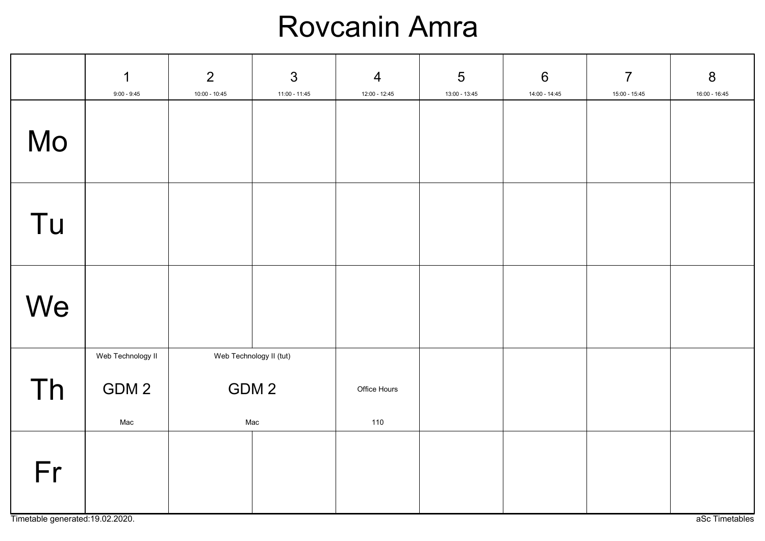#### Rovcanin Amra

|    | $\mathbf 1$<br>$9:00 - 9:45$      | $\overline{2}$<br>10:00 - 10:45         | $\mathfrak{S}$<br>$11:00 - 11:45$ | $\overline{4}$<br>$12:00 - 12:45$ | 5<br>13:00 - 13:45 | $6\,$<br>$14:00 - 14:45$ | $\overline{7}$<br>$15:00 - 15:45$ | $\bf 8$<br>16:00 - 16:45 |
|----|-----------------------------------|-----------------------------------------|-----------------------------------|-----------------------------------|--------------------|--------------------------|-----------------------------------|--------------------------|
| Mo |                                   |                                         |                                   |                                   |                    |                          |                                   |                          |
| Tu |                                   |                                         |                                   |                                   |                    |                          |                                   |                          |
| We |                                   |                                         |                                   |                                   |                    |                          |                                   |                          |
| Th | Web Technology II<br>GDM 2<br>Mac | Web Technology II (tut)<br>GDM 2<br>Mac |                                   | Office Hours<br>110               |                    |                          |                                   |                          |
| Fr |                                   |                                         |                                   |                                   |                    |                          |                                   |                          |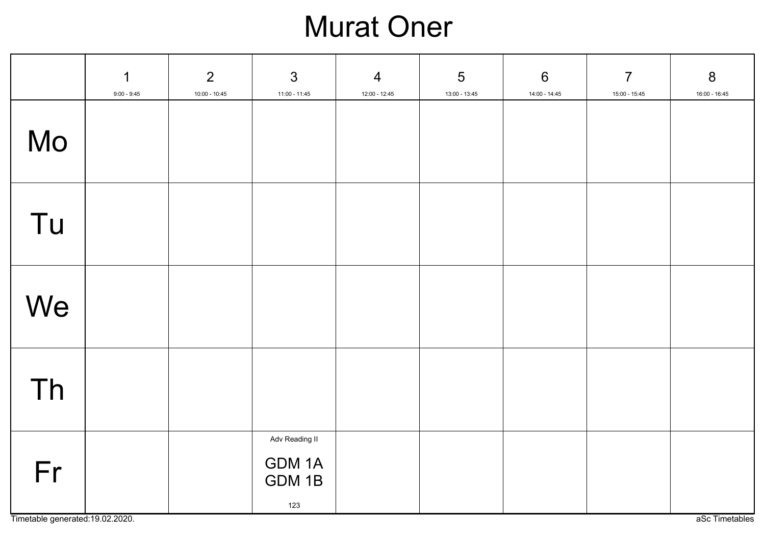## Murat Oner

|                                        | $\mathbf 1$<br>$9:00 - 9:45$ | $\overline{2}$<br>$10:00 - 10:45$ | $\mathfrak{S}$<br>11:00 - 11:45           | $\overline{4}$<br>12:00 - 12:45 | $5\phantom{1}$<br>13:00 - 13:45 | $6\phantom{1}6$<br>14:00 - 14:45 | $\overline{7}$<br>15:00 - 15:45 | $8\phantom{1}$<br>16:00 - 16:45 |
|----------------------------------------|------------------------------|-----------------------------------|-------------------------------------------|---------------------------------|---------------------------------|----------------------------------|---------------------------------|---------------------------------|
| Mo                                     |                              |                                   |                                           |                                 |                                 |                                  |                                 |                                 |
| Tu                                     |                              |                                   |                                           |                                 |                                 |                                  |                                 |                                 |
| We                                     |                              |                                   |                                           |                                 |                                 |                                  |                                 |                                 |
| Th                                     |                              |                                   |                                           |                                 |                                 |                                  |                                 |                                 |
| Fr<br>Timetable generated: 19.02.2020. |                              |                                   | Adv Reading II<br>GDM 1A<br>GDM 1B<br>123 |                                 |                                 |                                  |                                 | aSc Timetables                  |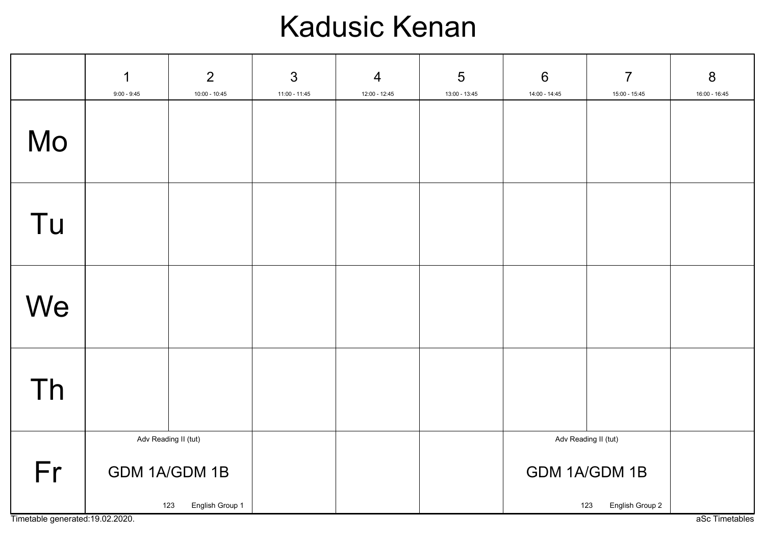### Kadusic Kenan

|                                        | $\mathbf 1$<br>$9:00 - 9:45$ | $\overline{2}$<br>$10:00 - 10:45$       | $\mathfrak{S}$<br>11:00 - 11:45 | $\overline{4}$<br>12:00 - 12:45 | 5<br>13:00 - 13:45 | $6\phantom{1}6$<br>14:00 - 14:45 | $\overline{7}$<br>15:00 - 15:45                                 | $\boldsymbol{8}$<br>16:00 - 16:45 |  |
|----------------------------------------|------------------------------|-----------------------------------------|---------------------------------|---------------------------------|--------------------|----------------------------------|-----------------------------------------------------------------|-----------------------------------|--|
| Mo                                     |                              |                                         |                                 |                                 |                    |                                  |                                                                 |                                   |  |
| Tu                                     |                              |                                         |                                 |                                 |                    |                                  |                                                                 |                                   |  |
| We                                     |                              |                                         |                                 |                                 |                    |                                  |                                                                 |                                   |  |
| Th                                     |                              |                                         |                                 |                                 |                    |                                  |                                                                 |                                   |  |
| Fr<br>Timetable generated: 19.02.2020. | Adv Reading II (tut)         | GDM 1A/GDM 1B<br>English Group 1<br>123 |                                 |                                 |                    |                                  | Adv Reading II (tut)<br>GDM 1A/GDM 1B<br>English Group 2<br>123 |                                   |  |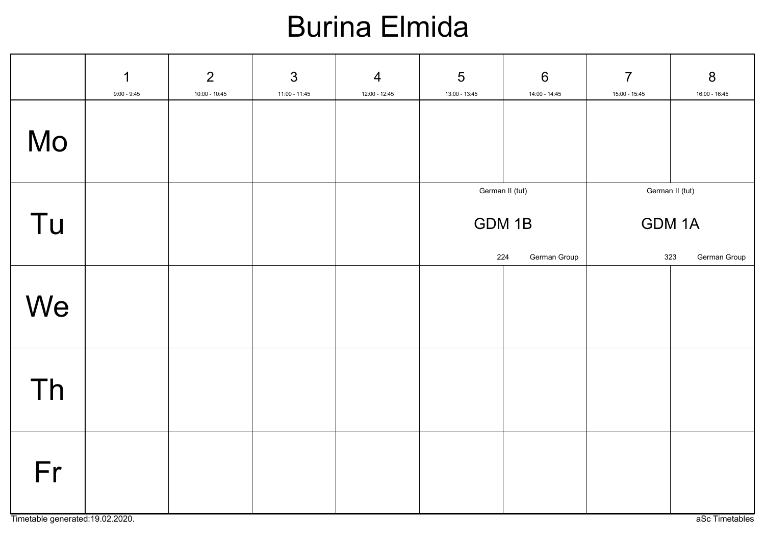## Burina Elmida

|    | 1<br>$9:00 - 9:45$ | $\overline{2}$<br>$10:00 - 10:45$ | $\mathfrak{S}$<br>11:00 - 11:45 | $\overline{4}$<br>12:00 - 12:45 | 5<br>13:00 - 13:45     | 6<br>14:00 - 14:45     | $\overline{7}$<br>15:00 - 15:45 | $\boldsymbol{8}$<br>16:00 - 16:45 |
|----|--------------------|-----------------------------------|---------------------------------|---------------------------------|------------------------|------------------------|---------------------------------|-----------------------------------|
| Mo |                    |                                   |                                 |                                 |                        |                        |                                 |                                   |
| Tu |                    |                                   |                                 |                                 | German II (tut)<br>224 | GDM 1B<br>German Group | GDM 1A<br>323                   | German II (tut)<br>German Group   |
| We |                    |                                   |                                 |                                 |                        |                        |                                 |                                   |
| Th |                    |                                   |                                 |                                 |                        |                        |                                 |                                   |
| Fr |                    |                                   |                                 |                                 |                        |                        |                                 |                                   |